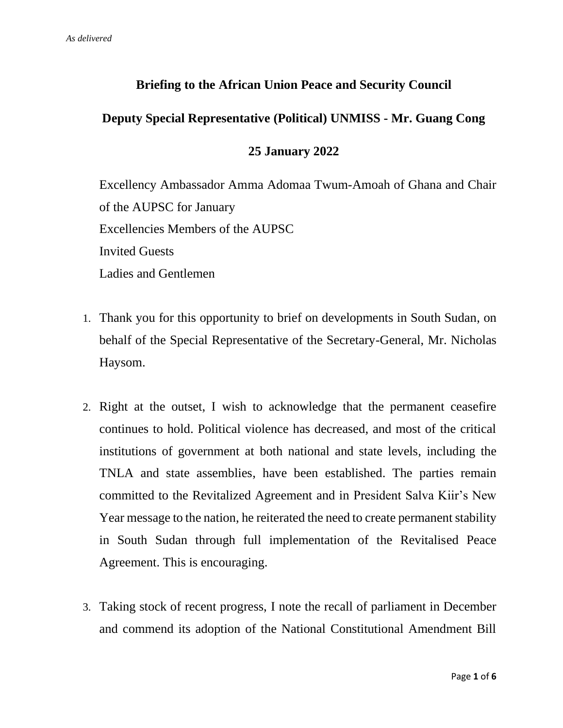# **Briefing to the African Union Peace and Security Council**

# **Deputy Special Representative (Political) UNMISS - Mr. Guang Cong**

#### **25 January 2022**

Excellency Ambassador Amma Adomaa Twum-Amoah of Ghana and Chair of the AUPSC for January Excellencies Members of the AUPSC Invited Guests Ladies and Gentlemen

- 1. Thank you for this opportunity to brief on developments in South Sudan, on behalf of the Special Representative of the Secretary-General, Mr. Nicholas Haysom.
- 2. Right at the outset, I wish to acknowledge that the permanent ceasefire continues to hold. Political violence has decreased, and most of the critical institutions of government at both national and state levels, including the TNLA and state assemblies, have been established. The parties remain committed to the Revitalized Agreement and in President Salva Kiir's New Year message to the nation, he reiterated the need to create permanent stability in South Sudan through full implementation of the Revitalised Peace Agreement. This is encouraging.
- 3. Taking stock of recent progress, I note the recall of parliament in December and commend its adoption of the National Constitutional Amendment Bill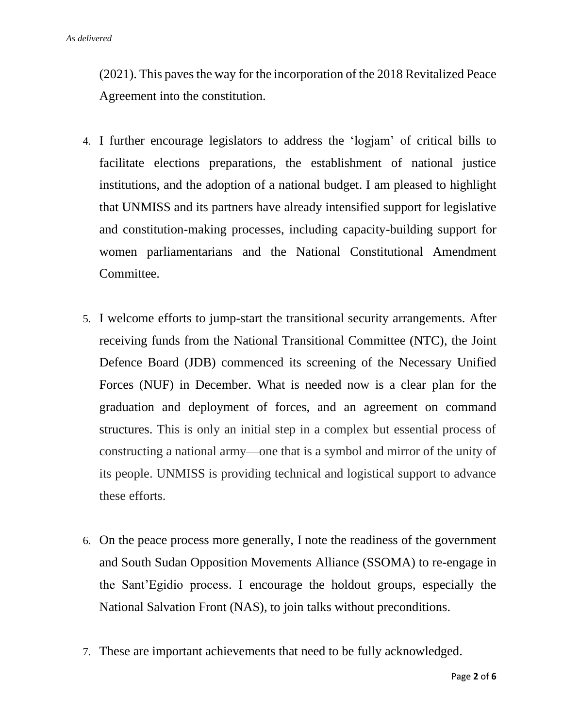(2021). This paves the way for the incorporation of the 2018 Revitalized Peace Agreement into the constitution.

- 4. I further encourage legislators to address the 'logjam' of critical bills to facilitate elections preparations, the establishment of national justice institutions, and the adoption of a national budget. I am pleased to highlight that UNMISS and its partners have already intensified support for legislative and constitution-making processes, including capacity-building support for women parliamentarians and the National Constitutional Amendment Committee.
- 5. I welcome efforts to jump-start the transitional security arrangements. After receiving funds from the National Transitional Committee (NTC), the Joint Defence Board (JDB) commenced its screening of the Necessary Unified Forces (NUF) in December. What is needed now is a clear plan for the graduation and deployment of forces, and an agreement on command structures. This is only an initial step in a complex but essential process of constructing a national army—one that is a symbol and mirror of the unity of its people. UNMISS is providing technical and logistical support to advance these efforts.
- 6. On the peace process more generally, I note the readiness of the government and South Sudan Opposition Movements Alliance (SSOMA) to re-engage in the Sant'Egidio process. I encourage the holdout groups, especially the National Salvation Front (NAS), to join talks without preconditions.
- 7. These are important achievements that need to be fully acknowledged.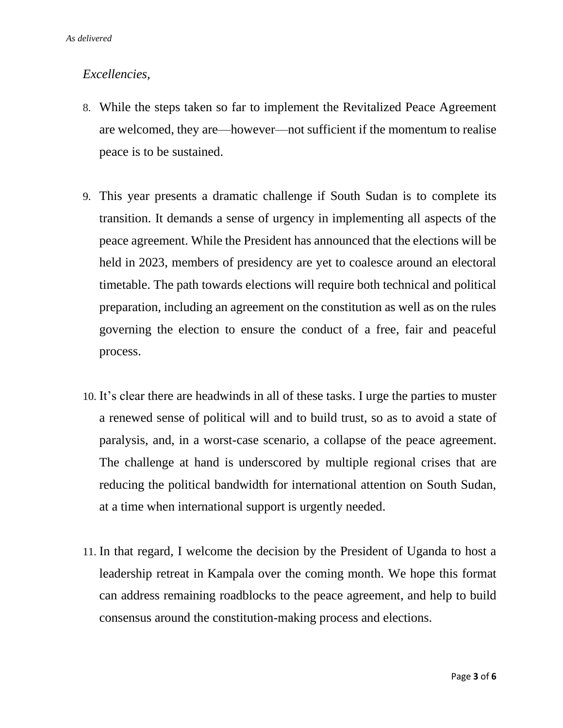## *Excellencies,*

- 8. While the steps taken so far to implement the Revitalized Peace Agreement are welcomed, they are—however—not sufficient if the momentum to realise peace is to be sustained.
- 9. This year presents a dramatic challenge if South Sudan is to complete its transition. It demands a sense of urgency in implementing all aspects of the peace agreement. While the President has announced that the elections will be held in 2023, members of presidency are yet to coalesce around an electoral timetable. The path towards elections will require both technical and political preparation, including an agreement on the constitution as well as on the rules governing the election to ensure the conduct of a free, fair and peaceful process.
- 10. It's clear there are headwinds in all of these tasks. I urge the parties to muster a renewed sense of political will and to build trust, so as to avoid a state of paralysis, and, in a worst-case scenario, a collapse of the peace agreement. The challenge at hand is underscored by multiple regional crises that are reducing the political bandwidth for international attention on South Sudan, at a time when international support is urgently needed.
- 11. In that regard, I welcome the decision by the President of Uganda to host a leadership retreat in Kampala over the coming month. We hope this format can address remaining roadblocks to the peace agreement, and help to build consensus around the constitution-making process and elections.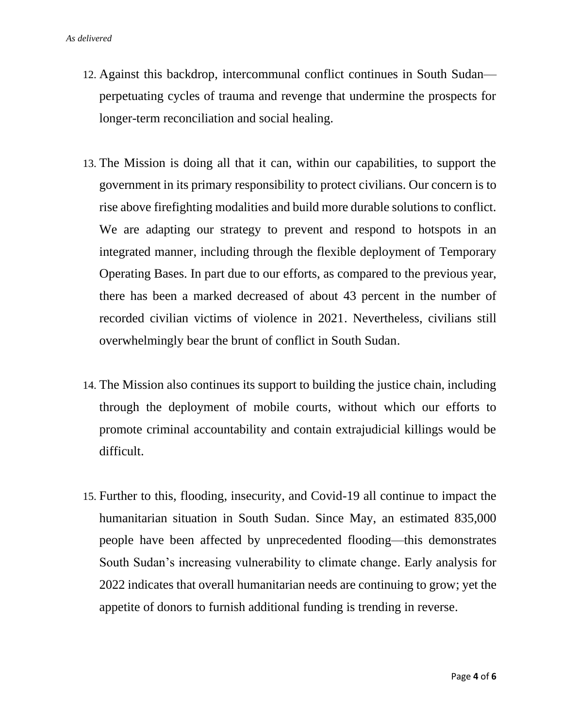- 12. Against this backdrop, intercommunal conflict continues in South Sudan perpetuating cycles of trauma and revenge that undermine the prospects for longer-term reconciliation and social healing.
- 13. The Mission is doing all that it can, within our capabilities, to support the government in its primary responsibility to protect civilians. Our concern is to rise above firefighting modalities and build more durable solutions to conflict. We are adapting our strategy to prevent and respond to hotspots in an integrated manner, including through the flexible deployment of Temporary Operating Bases. In part due to our efforts, as compared to the previous year, there has been a marked decreased of about 43 percent in the number of recorded civilian victims of violence in 2021. Nevertheless, civilians still overwhelmingly bear the brunt of conflict in South Sudan.
- 14. The Mission also continues its support to building the justice chain, including through the deployment of mobile courts*,* without which our efforts to promote criminal accountability and contain extrajudicial killings would be difficult.
- 15. Further to this, flooding, insecurity, and Covid-19 all continue to impact the humanitarian situation in South Sudan. Since May, an estimated 835,000 people have been affected by unprecedented flooding—this demonstrates South Sudan's increasing vulnerability to climate change. Early analysis for 2022 indicates that overall humanitarian needs are continuing to grow; yet the appetite of donors to furnish additional funding is trending in reverse.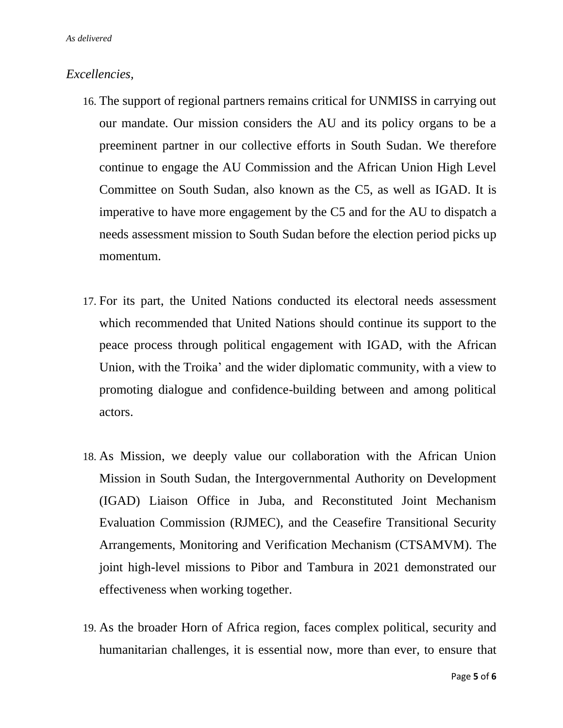## *Excellencies,*

- 16. The support of regional partners remains critical for UNMISS in carrying out our mandate. Our mission considers the AU and its policy organs to be a preeminent partner in our collective efforts in South Sudan. We therefore continue to engage the AU Commission and the African Union High Level Committee on South Sudan, also known as the C5, as well as IGAD. It is imperative to have more engagement by the C5 and for the AU to dispatch a needs assessment mission to South Sudan before the election period picks up momentum.
- 17. For its part, the United Nations conducted its electoral needs assessment which recommended that United Nations should continue its support to the peace process through political engagement with IGAD, with the African Union, with the Troika' and the wider diplomatic community, with a view to promoting dialogue and confidence-building between and among political actors.
- 18. As Mission, we deeply value our collaboration with the African Union Mission in South Sudan, the Intergovernmental Authority on Development (IGAD) Liaison Office in Juba, and Reconstituted Joint Mechanism Evaluation Commission (RJMEC), and the Ceasefire Transitional Security Arrangements, Monitoring and Verification Mechanism (CTSAMVM). The joint high-level missions to Pibor and Tambura in 2021 demonstrated our effectiveness when working together.
- 19. As the broader Horn of Africa region, faces complex political, security and humanitarian challenges, it is essential now, more than ever, to ensure that